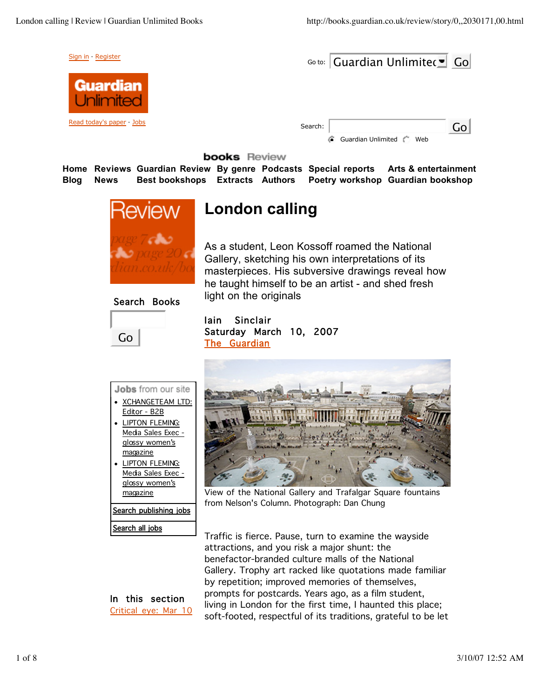Sign in · Register Go to:  $\boxed{\text{Guardian Unlimited}}$ 



Read today's paper · Jobs

| Search: |    |                    |     |  |
|---------|----|--------------------|-----|--|
|         | Æ. | Guardian Unlimited | Web |  |

**books** Review

**Home Reviews Guardian Review By genre Podcasts Special reports Arts & entertainment Blog News Best bookshops Extracts Authors Poetry workshop Guardian bookshop**



**London calling**

As a student, Leon Kossoff roamed the National Gallery, sketching his own interpretations of its masterpieces. His subversive drawings reveal how he taught himself to be an artist - and shed fresh light on the originals



Search Books

Iain Sinclair Saturday March 10, 2007 The Guardian



In this section Critical eye: Mar 10



View of the National Gallery and Trafalgar Square fountains from Nelson's Column. Photograph: Dan Chung

Traffic is fierce. Pause, turn to examine the wayside attractions, and you risk a major shunt: the benefactor-branded culture malls of the National Gallery. Trophy art racked like quotations made familiar by repetition; improved memories of themselves, prompts for postcards. Years ago, as a film student, living in London for the first time, I haunted this place; soft-footed, respectful of its traditions, grateful to be let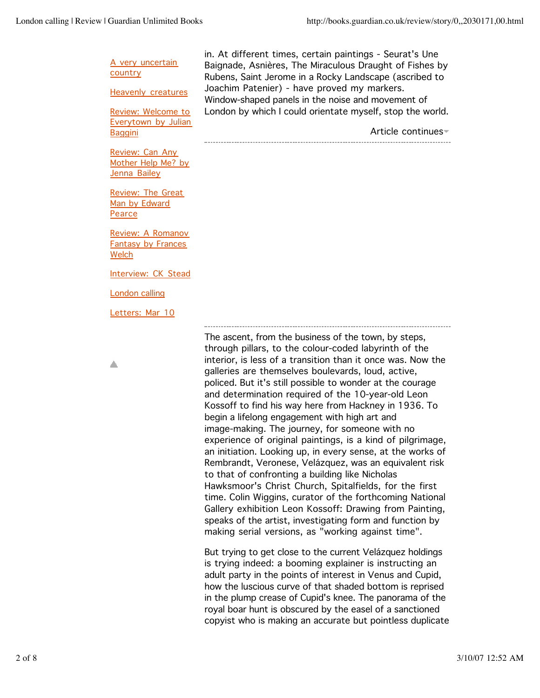A very uncertain **country** 

Heavenly creatures

Review: Welcome to Everytown by Julian Baggini

Review: Can Any Mother Help Me? by Jenna Bailey

Review: The Great Man by Edward **Pearce** 

Review: A Romanov Fantasy by Frances **Welch** 

Interview: CK Stead

London calling

Letters: Mar 10

Δ

in. At different times, certain paintings - Seurat's Une Baignade, Asnières, The Miraculous Draught of Fishes by Rubens, Saint Jerome in a Rocky Landscape (ascribed to Joachim Patenier) - have proved my markers. Window-shaped panels in the noise and movement of London by which I could orientate myself, stop the world.

Article continues

The ascent, from the business of the town, by steps, through pillars, to the colour-coded labyrinth of the interior, is less of a transition than it once was. Now the galleries are themselves boulevards, loud, active, policed. But it's still possible to wonder at the courage and determination required of the 10-year-old Leon Kossoff to find his way here from Hackney in 1936. To begin a lifelong engagement with high art and image-making. The journey, for someone with no experience of original paintings, is a kind of pilgrimage, an initiation. Looking up, in every sense, at the works of Rembrandt, Veronese, Velázquez, was an equivalent risk to that of confronting a building like Nicholas Hawksmoor's Christ Church, Spitalfields, for the first time. Colin Wiggins, curator of the forthcoming National Gallery exhibition Leon Kossoff: Drawing from Painting, speaks of the artist, investigating form and function by making serial versions, as "working against time".

But trying to get close to the current Velázquez holdings is trying indeed: a booming explainer is instructing an adult party in the points of interest in Venus and Cupid, how the luscious curve of that shaded bottom is reprised in the plump crease of Cupid's knee. The panorama of the royal boar hunt is obscured by the easel of a sanctioned copyist who is making an accurate but pointless duplicate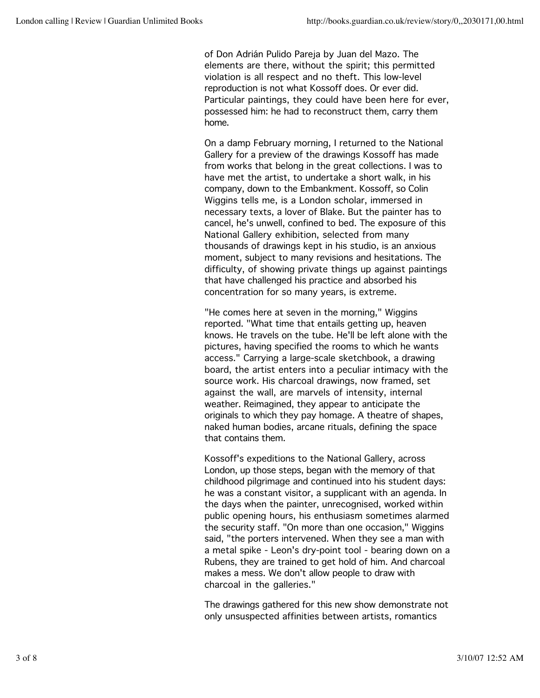of Don Adrián Pulido Pareja by Juan del Mazo. The elements are there, without the spirit; this permitted violation is all respect and no theft. This low-level reproduction is not what Kossoff does. Or ever did. Particular paintings, they could have been here for ever, possessed him: he had to reconstruct them, carry them home.

On a damp February morning, I returned to the National Gallery for a preview of the drawings Kossoff has made from works that belong in the great collections. I was to have met the artist, to undertake a short walk, in his company, down to the Embankment. Kossoff, so Colin Wiggins tells me, is a London scholar, immersed in necessary texts, a lover of Blake. But the painter has to cancel, he's unwell, confined to bed. The exposure of this National Gallery exhibition, selected from many thousands of drawings kept in his studio, is an anxious moment, subject to many revisions and hesitations. The difficulty, of showing private things up against paintings that have challenged his practice and absorbed his concentration for so many years, is extreme.

"He comes here at seven in the morning," Wiggins reported. "What time that entails getting up, heaven knows. He travels on the tube. He'll be left alone with the pictures, having specified the rooms to which he wants access." Carrying a large-scale sketchbook, a drawing board, the artist enters into a peculiar intimacy with the source work. His charcoal drawings, now framed, set against the wall, are marvels of intensity, internal weather. Reimagined, they appear to anticipate the originals to which they pay homage. A theatre of shapes, naked human bodies, arcane rituals, defining the space that contains them.

Kossoff's expeditions to the National Gallery, across London, up those steps, began with the memory of that childhood pilgrimage and continued into his student days: he was a constant visitor, a supplicant with an agenda. In the days when the painter, unrecognised, worked within public opening hours, his enthusiasm sometimes alarmed the security staff. "On more than one occasion," Wiggins said, "the porters intervened. When they see a man with a metal spike - Leon's dry-point tool - bearing down on a Rubens, they are trained to get hold of him. And charcoal makes a mess. We don't allow people to draw with charcoal in the galleries."

The drawings gathered for this new show demonstrate not only unsuspected affinities between artists, romantics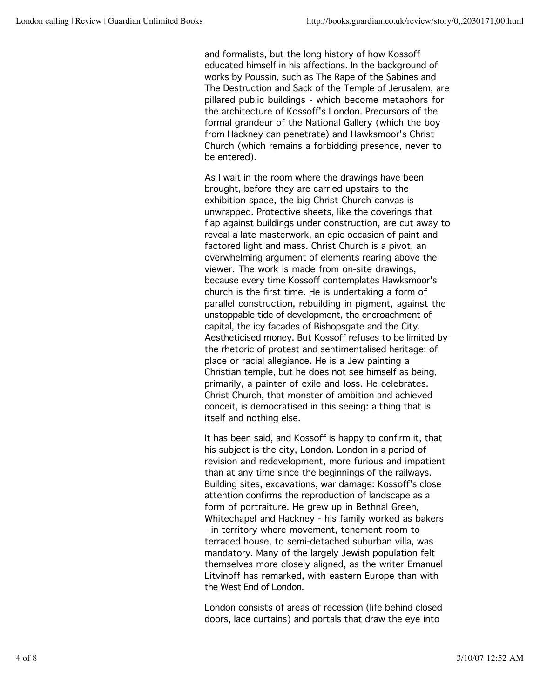and formalists, but the long history of how Kossoff educated himself in his affections. In the background of works by Poussin, such as The Rape of the Sabines and The Destruction and Sack of the Temple of Jerusalem, are pillared public buildings - which become metaphors for the architecture of Kossoff's London. Precursors of the formal grandeur of the National Gallery (which the boy from Hackney can penetrate) and Hawksmoor's Christ Church (which remains a forbidding presence, never to be entered).

As I wait in the room where the drawings have been brought, before they are carried upstairs to the exhibition space, the big Christ Church canvas is unwrapped. Protective sheets, like the coverings that flap against buildings under construction, are cut away to reveal a late masterwork, an epic occasion of paint and factored light and mass. Christ Church is a pivot, an overwhelming argument of elements rearing above the viewer. The work is made from on-site drawings, because every time Kossoff contemplates Hawksmoor's church is the first time. He is undertaking a form of parallel construction, rebuilding in pigment, against the unstoppable tide of development, the encroachment of capital, the icy facades of Bishopsgate and the City. Aestheticised money. But Kossoff refuses to be limited by the rhetoric of protest and sentimentalised heritage: of place or racial allegiance. He is a Jew painting a Christian temple, but he does not see himself as being, primarily, a painter of exile and loss. He celebrates. Christ Church, that monster of ambition and achieved conceit, is democratised in this seeing: a thing that is itself and nothing else.

It has been said, and Kossoff is happy to confirm it, that his subject is the city, London. London in a period of revision and redevelopment, more furious and impatient than at any time since the beginnings of the railways. Building sites, excavations, war damage: Kossoff's close attention confirms the reproduction of landscape as a form of portraiture. He grew up in Bethnal Green, Whitechapel and Hackney - his family worked as bakers - in territory where movement, tenement room to terraced house, to semi-detached suburban villa, was mandatory. Many of the largely Jewish population felt themselves more closely aligned, as the writer Emanuel Litvinoff has remarked, with eastern Europe than with the West End of London.

London consists of areas of recession (life behind closed doors, lace curtains) and portals that draw the eye into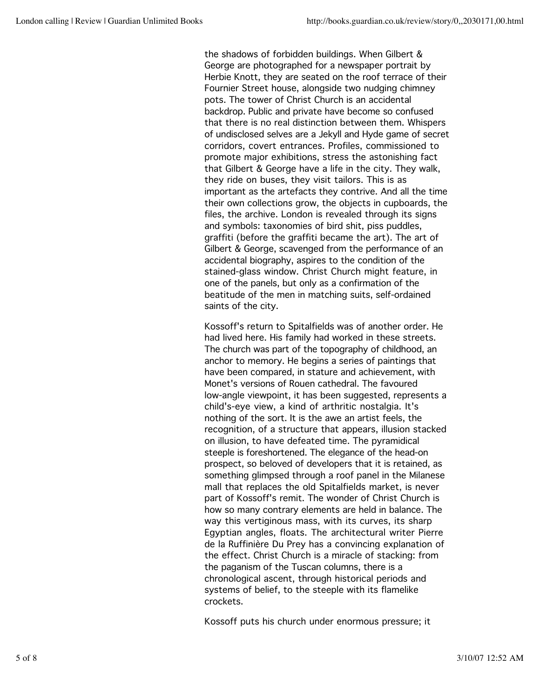the shadows of forbidden buildings. When Gilbert & George are photographed for a newspaper portrait by Herbie Knott, they are seated on the roof terrace of their Fournier Street house, alongside two nudging chimney pots. The tower of Christ Church is an accidental backdrop. Public and private have become so confused that there is no real distinction between them. Whispers of undisclosed selves are a Jekyll and Hyde game of secret corridors, covert entrances. Profiles, commissioned to promote major exhibitions, stress the astonishing fact that Gilbert & George have a life in the city. They walk, they ride on buses, they visit tailors. This is as important as the artefacts they contrive. And all the time their own collections grow, the objects in cupboards, the files, the archive. London is revealed through its signs and symbols: taxonomies of bird shit, piss puddles, graffiti (before the graffiti became the art). The art of Gilbert & George, scavenged from the performance of an accidental biography, aspires to the condition of the stained-glass window. Christ Church might feature, in one of the panels, but only as a confirmation of the beatitude of the men in matching suits, self-ordained saints of the city.

Kossoff's return to Spitalfields was of another order. He had lived here. His family had worked in these streets. The church was part of the topography of childhood, an anchor to memory. He begins a series of paintings that have been compared, in stature and achievement, with Monet's versions of Rouen cathedral. The favoured low-angle viewpoint, it has been suggested, represents a child's-eye view, a kind of arthritic nostalgia. It's nothing of the sort. It is the awe an artist feels, the recognition, of a structure that appears, illusion stacked on illusion, to have defeated time. The pyramidical steeple is foreshortened. The elegance of the head-on prospect, so beloved of developers that it is retained, as something glimpsed through a roof panel in the Milanese mall that replaces the old Spitalfields market, is never part of Kossoff's remit. The wonder of Christ Church is how so many contrary elements are held in balance. The way this vertiginous mass, with its curves, its sharp Egyptian angles, floats. The architectural writer Pierre de la Ruffinière Du Prey has a convincing explanation of the effect. Christ Church is a miracle of stacking: from the paganism of the Tuscan columns, there is a chronological ascent, through historical periods and systems of belief, to the steeple with its flamelike crockets.

Kossoff puts his church under enormous pressure; it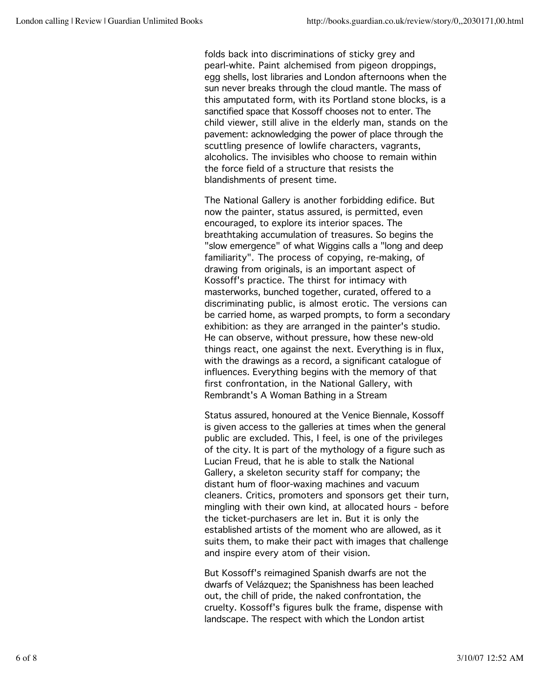folds back into discriminations of sticky grey and pearl-white. Paint alchemised from pigeon droppings, egg shells, lost libraries and London afternoons when the sun never breaks through the cloud mantle. The mass of this amputated form, with its Portland stone blocks, is a sanctified space that Kossoff chooses not to enter. The child viewer, still alive in the elderly man, stands on the pavement: acknowledging the power of place through the scuttling presence of lowlife characters, vagrants, alcoholics. The invisibles who choose to remain within the force field of a structure that resists the blandishments of present time.

The National Gallery is another forbidding edifice. But now the painter, status assured, is permitted, even encouraged, to explore its interior spaces. The breathtaking accumulation of treasures. So begins the "slow emergence" of what Wiggins calls a "long and deep familiarity". The process of copying, re-making, of drawing from originals, is an important aspect of Kossoff's practice. The thirst for intimacy with masterworks, bunched together, curated, offered to a discriminating public, is almost erotic. The versions can be carried home, as warped prompts, to form a secondary exhibition: as they are arranged in the painter's studio. He can observe, without pressure, how these new-old things react, one against the next. Everything is in flux, with the drawings as a record, a significant catalogue of influences. Everything begins with the memory of that first confrontation, in the National Gallery, with Rembrandt's A Woman Bathing in a Stream

Status assured, honoured at the Venice Biennale, Kossoff is given access to the galleries at times when the general public are excluded. This, I feel, is one of the privileges of the city. It is part of the mythology of a figure such as Lucian Freud, that he is able to stalk the National Gallery, a skeleton security staff for company; the distant hum of floor-waxing machines and vacuum cleaners. Critics, promoters and sponsors get their turn, mingling with their own kind, at allocated hours - before the ticket-purchasers are let in. But it is only the established artists of the moment who are allowed, as it suits them, to make their pact with images that challenge and inspire every atom of their vision.

But Kossoff's reimagined Spanish dwarfs are not the dwarfs of Velázquez; the Spanishness has been leached out, the chill of pride, the naked confrontation, the cruelty. Kossoff's figures bulk the frame, dispense with landscape. The respect with which the London artist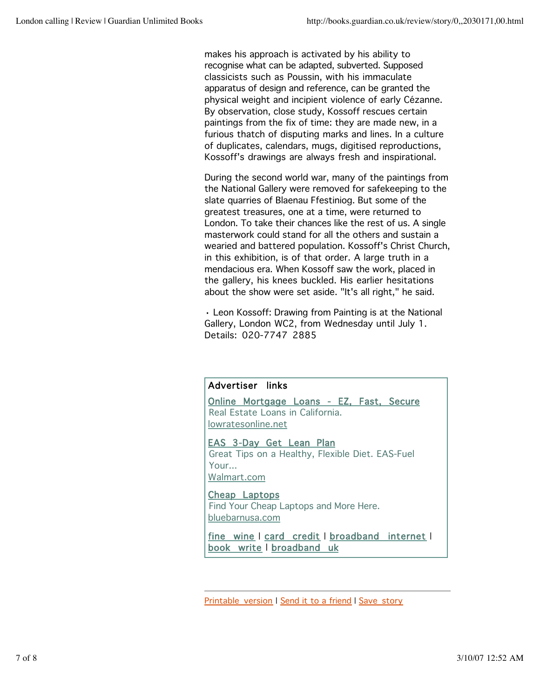makes his approach is activated by his ability to recognise what can be adapted, subverted. Supposed classicists such as Poussin, with his immaculate apparatus of design and reference, can be granted the physical weight and incipient violence of early Cézanne. By observation, close study, Kossoff rescues certain paintings from the fix of time: they are made new, in a furious thatch of disputing marks and lines. In a culture of duplicates, calendars, mugs, digitised reproductions, Kossoff's drawings are always fresh and inspirational.

During the second world war, many of the paintings from the National Gallery were removed for safekeeping to the slate quarries of Blaenau Ffestiniog. But some of the greatest treasures, one at a time, were returned to London. To take their chances like the rest of us. A single masterwork could stand for all the others and sustain a wearied and battered population. Kossoff's Christ Church, in this exhibition, is of that order. A large truth in a mendacious era. When Kossoff saw the work, placed in the gallery, his knees buckled. His earlier hesitations about the show were set aside. "It's all right," he said.

· Leon Kossoff: Drawing from Painting is at the National Gallery, London WC2, from Wednesday until July 1. Details: 020-7747 2885

## Advertiser links

Online Mortgage Loans - EZ, Fast, Secure Real Estate Loans in California. lowratesonline.net

EAS 3-Day Get Lean Plan

Great Tips on a Healthy, Flexible Diet. EAS-Fuel Your...

Walmart.com

## Cheap Laptops

Find Your Cheap Laptops and More Here. bluebarnusa.com

fine wine I card credit I broadband internet I book write I broadband uk

Printable version I Send it to a friend I Save story